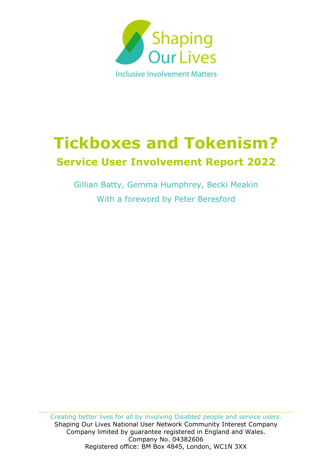

# **Tickboxes and Tokenism? Service User Involvement Report 2022**

Gillian Batty, Gemma Humphrey, Becki Meakin With a foreword by Peter Beresford

Creating better lives for all by involving Disabled people and service users. Shaping Our Lives National User Network Community Interest Company Company limited by guarantee registered in England and Wales. Company No. 04382606 Registered office: BM Box 4845, London, WC1N 3XX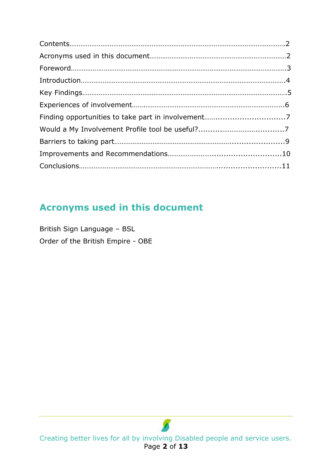# **Acronyms used in this document**

British Sign Language – BSL Order of the British Empire - OBE

Creating better lives for all by involving Disabled people and service users. Page **2** of **13**

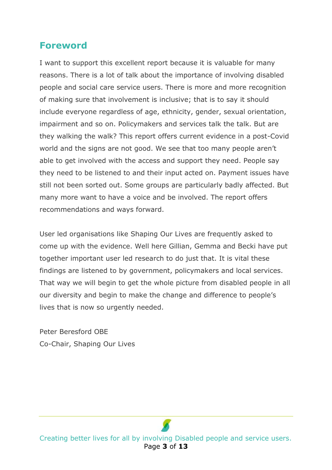### **Foreword**

I want to support this excellent report because it is valuable for many reasons. There is a lot of talk about the importance of involving disabled people and social care service users. There is more and more recognition of making sure that involvement is inclusive; that is to say it should include everyone regardless of age, ethnicity, gender, sexual orientation, impairment and so on. Policymakers and services talk the talk. But are they walking the walk? This report offers current evidence in a post-Covid world and the signs are not good. We see that too many people aren't able to get involved with the access and support they need. People say they need to be listened to and their input acted on. Payment issues have still not been sorted out. Some groups are particularly badly affected. But many more want to have a voice and be involved. The report offers recommendations and ways forward.

User led organisations like Shaping Our Lives are frequently asked to come up with the evidence. Well here Gillian, Gemma and Becki have put together important user led research to do just that. It is vital these findings are listened to by government, policymakers and local services. That way we will begin to get the whole picture from disabled people in all our diversity and begin to make the change and difference to people's lives that is now so urgently needed.

Peter Beresford OBE Co-Chair, Shaping Our Lives

Creating better lives for all by involving Disabled people and service users. Page **3** of **13**

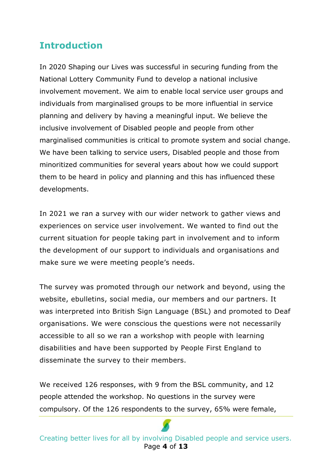## **Introduction**

In 2020 Shaping our Lives was successful in securing funding from the National Lottery Community Fund to develop a national inclusive involvement movement. We aim to enable local service user groups and individuals from marginalised groups to be more influential in service planning and delivery by having a meaningful input. We believe the inclusive involvement of Disabled people and people from other marginalised communities is critical to promote system and social change. We have been talking to service users, Disabled people and those from minoritized communities for several years about how we could support them to be heard in policy and planning and this has influenced these developments.

In 2021 we ran a survey with our wider network to gather views and experiences on service user involvement. We wanted to find out the current situation for people taking part in involvement and to inform the development of our support to individuals and organisations and make sure we were meeting people's needs.

The survey was promoted through our network and beyond, using the website, ebulletins, social media, our members and our partners. It was interpreted into British Sign Language (BSL) and promoted to Deaf organisations. We were conscious the questions were not necessarily accessible to all so we ran a workshop with people with learning disabilities and have been supported by People First England to disseminate the survey to their members.

We received 126 responses, with 9 from the BSL community, and 12 people attended the workshop. No questions in the survey were compulsory. Of the 126 respondents to the survey, 65% were female,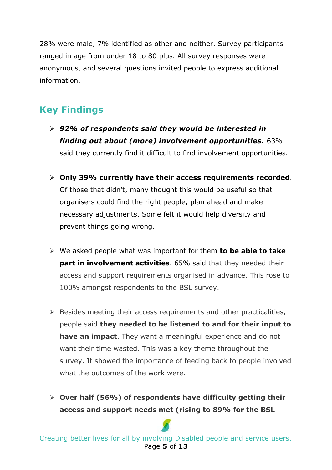28% were male, 7% identified as other and neither. Survey participants ranged in age from under 18 to 80 plus. All survey responses were anonymous, and several questions invited people to express additional information.

# **Key Findings**

- ➢ *92% of respondents said they would be interested in finding out about (more) involvement opportunities.* 63% said they currently find it difficult to find involvement opportunities.
- ➢ **Only 39% currently have their access requirements recorded**. Of those that didn't, many thought this would be useful so that organisers could find the right people, plan ahead and make necessary adjustments. Some felt it would help diversity and prevent things going wrong.
- ➢ We asked people what was important for them **to be able to take part in involvement activities**. 65% said that they needed their access and support requirements organised in advance. This rose to 100% amongst respondents to the BSL survey.
- $\triangleright$  Besides meeting their access requirements and other practicalities, people said **they needed to be listened to and for their input to have an impact**. They want a meaningful experience and do not want their time wasted. This was a key theme throughout the survey. It showed the importance of feeding back to people involved what the outcomes of the work were.
- ➢ **Over half (56%) of respondents have difficulty getting their access and support needs met (rising to 89% for the BSL**

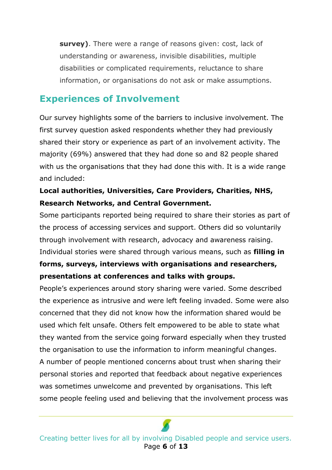**survey)**. There were a range of reasons given: cost, lack of understanding or awareness, invisible disabilities, multiple disabilities or complicated requirements, reluctance to share information, or organisations do not ask or make assumptions.

#### **Experiences of Involvement**

Our survey highlights some of the barriers to inclusive involvement. The first survey question asked respondents whether they had previously shared their story or experience as part of an involvement activity. The majority (69%) answered that they had done so and 82 people shared with us the organisations that they had done this with. It is a wide range and included:

#### **Local authorities, Universities, Care Providers, Charities, NHS, Research Networks, and Central Government.**

Some participants reported being required to share their stories as part of the process of accessing services and support. Others did so voluntarily through involvement with research, advocacy and awareness raising. Individual stories were shared through various means, such as **filling in forms, surveys, interviews with organisations and researchers,** 

#### **presentations at conferences and talks with groups.**

People's experiences around story sharing were varied. Some described the experience as intrusive and were left feeling invaded. Some were also concerned that they did not know how the information shared would be used which felt unsafe. Others felt empowered to be able to state what they wanted from the service going forward especially when they trusted the organisation to use the information to inform meaningful changes. A number of people mentioned concerns about trust when sharing their personal stories and reported that feedback about negative experiences was sometimes unwelcome and prevented by organisations. This left some people feeling used and believing that the involvement process was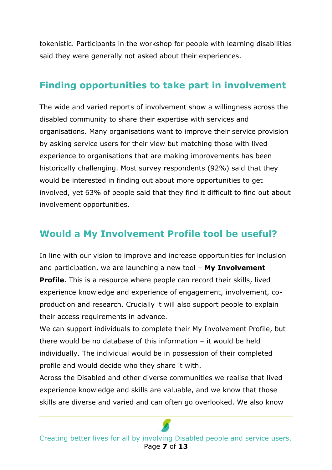tokenistic. Participants in the workshop for people with learning disabilities said they were generally not asked about their experiences.

## **Finding opportunities to take part in involvement**

The wide and varied reports of involvement show a willingness across the disabled community to share their expertise with services and organisations. Many organisations want to improve their service provision by asking service users for their view but matching those with lived experience to organisations that are making improvements has been historically challenging. Most survey respondents (92%) said that they would be interested in finding out about more opportunities to get involved, yet 63% of people said that they find it difficult to find out about involvement opportunities.

## **Would a My Involvement Profile tool be useful?**

In line with our vision to improve and increase opportunities for inclusion and participation, we are launching a new tool – **My Involvement Profile**. This is a resource where people can record their skills, lived experience knowledge and experience of engagement, involvement, coproduction and research. Crucially it will also support people to explain their access requirements in advance.

We can support individuals to complete their My Involvement Profile, but there would be no database of this information – it would be held individually. The individual would be in possession of their completed profile and would decide who they share it with.

Across the Disabled and other diverse communities we realise that lived experience knowledge and skills are valuable, and we know that those skills are diverse and varied and can often go overlooked. We also know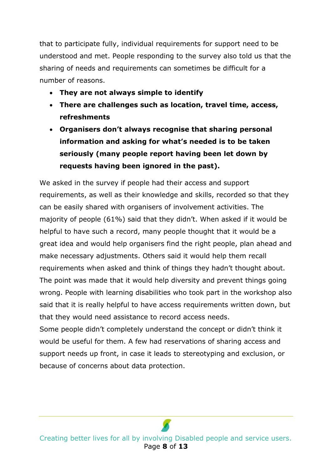that to participate fully, individual requirements for support need to be understood and met. People responding to the survey also told us that the sharing of needs and requirements can sometimes be difficult for a number of reasons.

- **They are not always simple to identify**
- **There are challenges such as location, travel time, access, refreshments**
- **Organisers don't always recognise that sharing personal information and asking for what's needed is to be taken seriously (many people report having been let down by requests having been ignored in the past).**

We asked in the survey if people had their access and support requirements, as well as their knowledge and skills, recorded so that they can be easily shared with organisers of involvement activities. The majority of people (61%) said that they didn't. When asked if it would be helpful to have such a record, many people thought that it would be a great idea and would help organisers find the right people, plan ahead and make necessary adjustments. Others said it would help them recall requirements when asked and think of things they hadn't thought about. The point was made that it would help diversity and prevent things going wrong. People with learning disabilities who took part in the workshop also said that it is really helpful to have access requirements written down, but that they would need assistance to record access needs.

Some people didn't completely understand the concept or didn't think it would be useful for them. A few had reservations of sharing access and support needs up front, in case it leads to stereotyping and exclusion, or because of concerns about data protection.

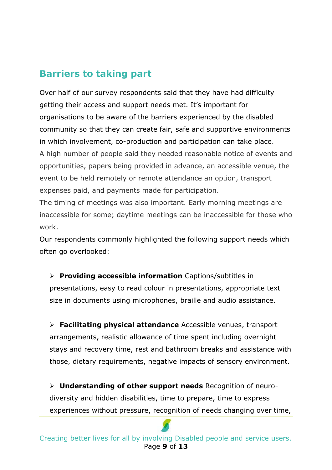# **Barriers to taking part**

Over half of our survey respondents said that they have had difficulty getting their access and support needs met. It's important for organisations to be aware of the barriers experienced by the disabled community so that they can create fair, safe and supportive environments in which involvement, co-production and participation can take place. A high number of people said they needed reasonable notice of events and opportunities, papers being provided in advance, an accessible venue, the event to be held remotely or remote attendance an option, transport expenses paid, and payments made for participation.

The timing of meetings was also important. Early morning meetings are inaccessible for some; daytime meetings can be inaccessible for those who work.

Our respondents commonly highlighted the following support needs which often go overlooked:

➢ **Providing accessible information** Captions/subtitles in presentations, easy to read colour in presentations, appropriate text size in documents using microphones, braille and audio assistance.

➢ **Facilitating physical attendance** Accessible venues, transport arrangements, realistic allowance of time spent including overnight stays and recovery time, rest and bathroom breaks and assistance with those, dietary requirements, negative impacts of sensory environment.

➢ **Understanding of other support needs** Recognition of neurodiversity and hidden disabilities, time to prepare, time to express experiences without pressure, recognition of needs changing over time,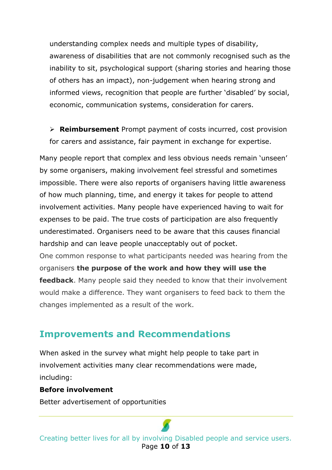understanding complex needs and multiple types of disability, awareness of disabilities that are not commonly recognised such as the inability to sit, psychological support (sharing stories and hearing those of others has an impact), non-judgement when hearing strong and informed views, recognition that people are further 'disabled' by social, economic, communication systems, consideration for carers.

➢ **Reimbursement** Prompt payment of costs incurred, cost provision for carers and assistance, fair payment in exchange for expertise.

Many people report that complex and less obvious needs remain 'unseen' by some organisers, making involvement feel stressful and sometimes impossible. There were also reports of organisers having little awareness of how much planning, time, and energy it takes for people to attend involvement activities. Many people have experienced having to wait for expenses to be paid. The true costs of participation are also frequently underestimated. Organisers need to be aware that this causes financial hardship and can leave people unacceptably out of pocket. One common response to what participants needed was hearing from the

organisers **the purpose of the work and how they will use the feedback**. Many people said they needed to know that their involvement would make a difference. They want organisers to feed back to them the changes implemented as a result of the work.

#### **Improvements and Recommendations**

When asked in the survey what might help people to take part in involvement activities many clear recommendations were made, including:

#### **Before involvement**

Better advertisement of opportunities

Creating better lives for all by involving Disabled people and service users. Page **10** of **13**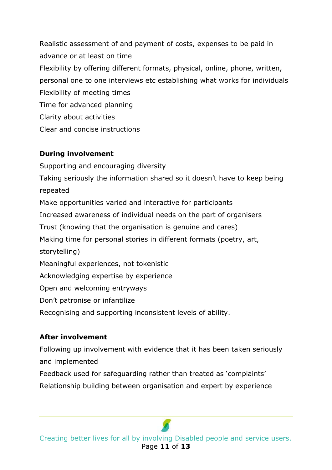Realistic assessment of and payment of costs, expenses to be paid in advance or at least on time Flexibility by offering different formats, physical, online, phone, written, personal one to one interviews etc establishing what works for individuals Flexibility of meeting times Time for advanced planning Clarity about activities Clear and concise instructions

#### **During involvement**

Supporting and encouraging diversity Taking seriously the information shared so it doesn't have to keep being repeated Make opportunities varied and interactive for participants Increased awareness of individual needs on the part of organisers Trust (knowing that the organisation is genuine and cares) Making time for personal stories in different formats (poetry, art, storytelling) Meaningful experiences, not tokenistic Acknowledging expertise by experience Open and welcoming entryways Don't patronise or infantilize Recognising and supporting inconsistent levels of ability.

#### **After involvement**

Following up involvement with evidence that it has been taken seriously and implemented Feedback used for safeguarding rather than treated as 'complaints' Relationship building between organisation and expert by experience

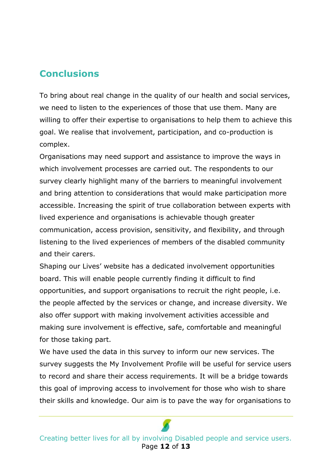## **Conclusions**

To bring about real change in the quality of our health and social services, we need to listen to the experiences of those that use them. Many are willing to offer their expertise to organisations to help them to achieve this goal. We realise that involvement, participation, and co-production is complex.

Organisations may need support and assistance to improve the ways in which involvement processes are carried out. The respondents to our survey clearly highlight many of the barriers to meaningful involvement and bring attention to considerations that would make participation more accessible. Increasing the spirit of true collaboration between experts with lived experience and organisations is achievable though greater communication, access provision, sensitivity, and flexibility, and through listening to the lived experiences of members of the disabled community and their carers.

Shaping our Lives' website has a dedicated involvement opportunities board. This will enable people currently finding it difficult to find opportunities, and support organisations to recruit the right people, i.e. the people affected by the services or change, and increase diversity. We also offer support with making involvement activities accessible and making sure involvement is effective, safe, comfortable and meaningful for those taking part.

We have used the data in this survey to inform our new services. The survey suggests the My Involvement Profile will be useful for service users to record and share their access requirements. It will be a bridge towards this goal of improving access to involvement for those who wish to share their skills and knowledge. Our aim is to pave the way for organisations to